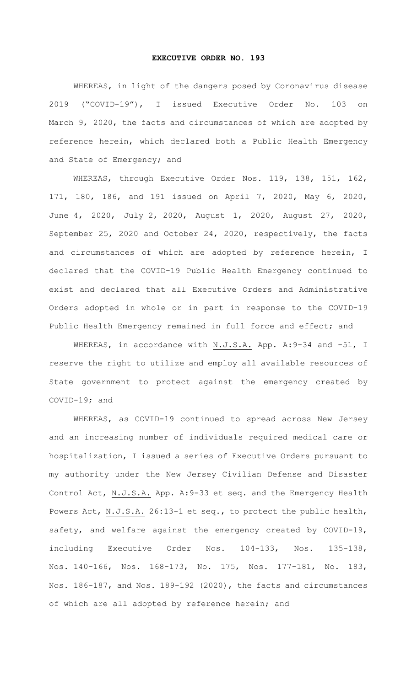## **EXECUTIVE ORDER NO. 193**

WHEREAS, in light of the dangers posed by Coronavirus disease 2019 ("COVID-19"), I issued Executive Order No. 103 on March 9, 2020, the facts and circumstances of which are adopted by reference herein, which declared both a Public Health Emergency and State of Emergency; and

WHEREAS, through Executive Order Nos. 119, 138, 151, 162, 171, 180, 186, and 191 issued on April 7, 2020, May 6, 2020, June 4, 2020, July 2, 2020, August 1, 2020, August 27, 2020, September 25, 2020 and October 24, 2020, respectively, the facts and circumstances of which are adopted by reference herein, I declared that the COVID-19 Public Health Emergency continued to exist and declared that all Executive Orders and Administrative Orders adopted in whole or in part in response to the COVID-19 Public Health Emergency remained in full force and effect; and

WHEREAS, in accordance with N.J.S.A. App. A: 9-34 and -51, I reserve the right to utilize and employ all available resources of State government to protect against the emergency created by COVID-19; and

WHEREAS, as COVID-19 continued to spread across New Jersey and an increasing number of individuals required medical care or hospitalization, I issued a series of Executive Orders pursuant to my authority under the New Jersey Civilian Defense and Disaster Control Act, N.J.S.A. App. A:9-33 et seq. and the Emergency Health Powers Act, N.J.S.A. 26:13-1 et seq., to protect the public health, safety, and welfare against the emergency created by COVID-19, including Executive Order Nos. 104-133, Nos. 135-138, Nos. 140-166, Nos. 168-173, No. 175, Nos. 177-181, No. 183, Nos. 186-187, and Nos. 189-192 (2020), the facts and circumstances of which are all adopted by reference herein; and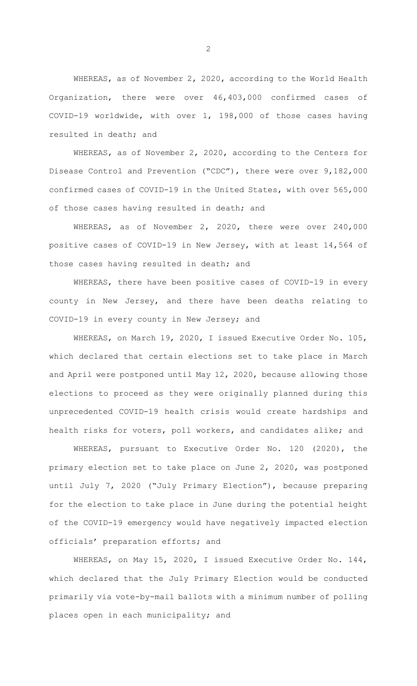WHEREAS, as of November 2, 2020, according to the World Health Organization, there were over 46,403,000 confirmed cases of COVID-19 worldwide, with over 1, 198,000 of those cases having resulted in death; and

WHEREAS, as of November 2, 2020, according to the Centers for Disease Control and Prevention ("CDC"), there were over 9,182,000 confirmed cases of COVID-19 in the United States, with over 565,000 of those cases having resulted in death; and

WHEREAS, as of November 2, 2020, there were over 240,000 positive cases of COVID-19 in New Jersey, with at least 14,564 of those cases having resulted in death; and

WHEREAS, there have been positive cases of COVID-19 in every county in New Jersey, and there have been deaths relating to COVID-19 in every county in New Jersey; and

WHEREAS, on March 19, 2020, I issued Executive Order No. 105, which declared that certain elections set to take place in March and April were postponed until May 12, 2020, because allowing those elections to proceed as they were originally planned during this unprecedented COVID-19 health crisis would create hardships and health risks for voters, poll workers, and candidates alike; and

WHEREAS, pursuant to Executive Order No. 120 (2020), the primary election set to take place on June 2, 2020, was postponed until July 7, 2020 ("July Primary Election"), because preparing for the election to take place in June during the potential height of the COVID-19 emergency would have negatively impacted election officials' preparation efforts; and

WHEREAS, on May 15, 2020, I issued Executive Order No. 144, which declared that the July Primary Election would be conducted primarily via vote-by-mail ballots with a minimum number of polling places open in each municipality; and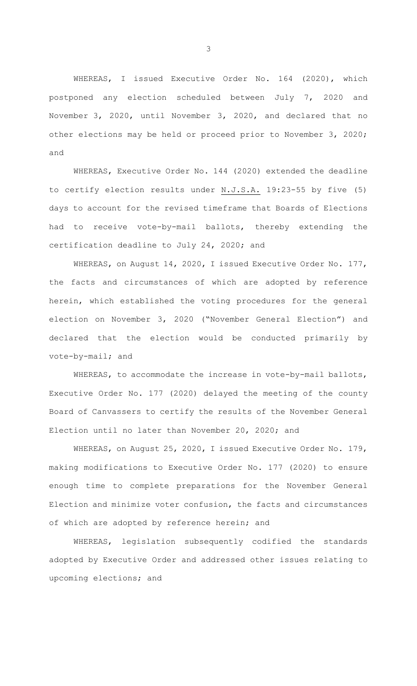WHEREAS, I issued Executive Order No. 164 (2020), which postponed any election scheduled between July 7, 2020 and November 3, 2020, until November 3, 2020, and declared that no other elections may be held or proceed prior to November 3, 2020; and

WHEREAS, Executive Order No. 144 (2020) extended the deadline to certify election results under N.J.S.A. 19:23-55 by five (5) days to account for the revised timeframe that Boards of Elections had to receive vote-by-mail ballots, thereby extending the certification deadline to July 24, 2020; and

WHEREAS, on August 14, 2020, I issued Executive Order No. 177, the facts and circumstances of which are adopted by reference herein, which established the voting procedures for the general election on November 3, 2020 ("November General Election") and declared that the election would be conducted primarily by vote-by-mail; and

WHEREAS, to accommodate the increase in vote-by-mail ballots, Executive Order No. 177 (2020) delayed the meeting of the county Board of Canvassers to certify the results of the November General Election until no later than November 20, 2020; and

WHEREAS, on August 25, 2020, I issued Executive Order No. 179, making modifications to Executive Order No. 177 (2020) to ensure enough time to complete preparations for the November General Election and minimize voter confusion, the facts and circumstances of which are adopted by reference herein; and

WHEREAS, legislation subsequently codified the standards adopted by Executive Order and addressed other issues relating to upcoming elections; and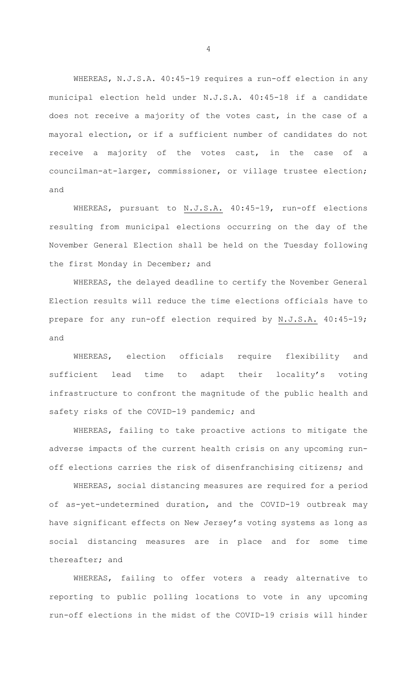WHEREAS, N.J.S.A. 40:45-19 requires a run-off election in any municipal election held under N.J.S.A. 40:45-18 if a candidate does not receive a majority of the votes cast, in the case of a mayoral election, or if a sufficient number of candidates do not receive a majority of the votes cast, in the case of a councilman-at-larger, commissioner, or village trustee election; and

WHEREAS, pursuant to N.J.S.A. 40:45-19, run-off elections resulting from municipal elections occurring on the day of the November General Election shall be held on the Tuesday following the first Monday in December; and

WHEREAS, the delayed deadline to certify the November General Election results will reduce the time elections officials have to prepare for any run-off election required by N.J.S.A. 40:45-19; and

WHEREAS, election officials require flexibility and sufficient lead time to adapt their locality's voting infrastructure to confront the magnitude of the public health and safety risks of the COVID-19 pandemic; and

WHEREAS, failing to take proactive actions to mitigate the adverse impacts of the current health crisis on any upcoming runoff elections carries the risk of disenfranchising citizens; and

WHEREAS, social distancing measures are required for a period of as-yet-undetermined duration, and the COVID-19 outbreak may have significant effects on New Jersey's voting systems as long as social distancing measures are in place and for some time thereafter; and

WHEREAS, failing to offer voters a ready alternative to reporting to public polling locations to vote in any upcoming run-off elections in the midst of the COVID-19 crisis will hinder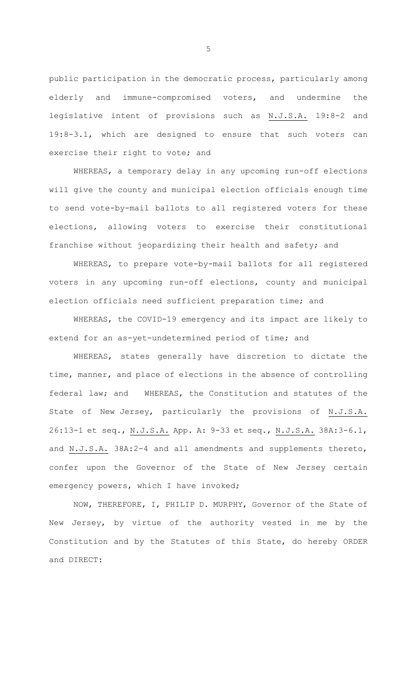public participation in the democratic process, particularly among elderly and immune-compromised voters, and undermine the legislative intent of provisions such as N.J.S.A. 19:8-2 and 19:8-3.1, which are designed to ensure that such voters can exercise their right to vote; and

WHEREAS, a temporary delay in any upcoming run-off elections will give the county and municipal election officials enough time to send vote-by-mail ballots to all registered voters for these elections, allowing voters to exercise their constitutional franchise without jeopardizing their health and safety; and

WHEREAS, to prepare vote-by-mail ballots for all registered voters in any upcoming run-off elections, county and municipal election officials need sufficient preparation time; and

WHEREAS, the COVID-19 emergency and its impact are likely to extend for an as-yet-undetermined period of time; and

WHEREAS, states generally have discretion to dictate the time, manner, and place of elections in the absence of controlling federal law; and WHEREAS, the Constitution and statutes of the State of New Jersey, particularly the provisions of N.J.S.A. 26:13-1 et seq., N.J.S.A. App. A: 9-33 et seq., N.J.S.A. 38A:3-6.1, and N.J.S.A. 38A:2-4 and all amendments and supplements thereto, confer upon the Governor of the State of New Jersey certain emergency powers, which I have invoked;

NOW, THEREFORE, I, PHILIP D. MURPHY, Governor of the State of New Jersey, by virtue of the authority vested in me by the Constitution and by the Statutes of this State, do hereby ORDER and DIRECT: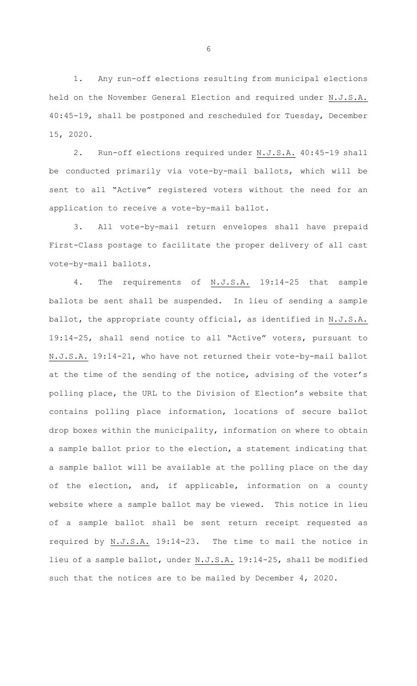1. Any run-off elections resulting from municipal elections held on the November General Election and required under N.J.S.A. 40:45-19, shall be postponed and rescheduled for Tuesday, December 15, 2020.

2. Run-off elections required under N.J.S.A. 40:45-19 shall be conducted primarily via vote-by-mail ballots, which will be sent to all "Active" registered voters without the need for an application to receive a vote-by-mail ballot.

3. All vote-by-mail return envelopes shall have prepaid First-Class postage to facilitate the proper delivery of all cast vote-by-mail ballots.

4. The requirements of N.J.S.A. 19:14-25 that sample ballots be sent shall be suspended. In lieu of sending a sample ballot, the appropriate county official, as identified in N.J.S.A. 19:14-25, shall send notice to all "Active" voters, pursuant to N.J.S.A. 19:14-21, who have not returned their vote-by-mail ballot at the time of the sending of the notice, advising of the voter's polling place, the URL to the Division of Election's website that contains polling place information, locations of secure ballot drop boxes within the municipality, information on where to obtain a sample ballot prior to the election, a statement indicating that a sample ballot will be available at the polling place on the day of the election, and, if applicable, information on a county website where a sample ballot may be viewed. This notice in lieu of a sample ballot shall be sent return receipt requested as required by N.J.S.A. 19:14-23. The time to mail the notice in lieu of a sample ballot, under N.J.S.A. 19:14-25, shall be modified such that the notices are to be mailed by December 4, 2020.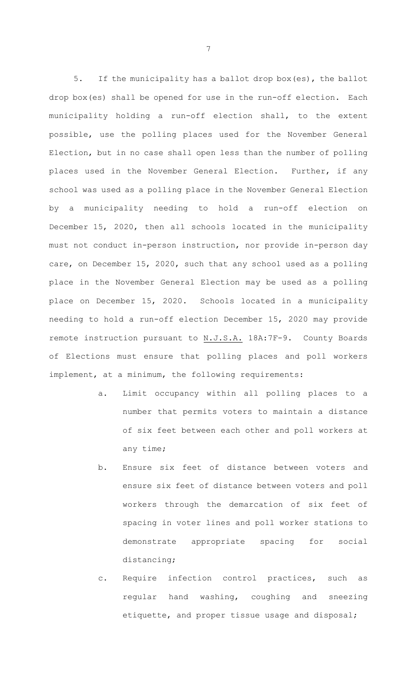5. If the municipality has a ballot drop box(es), the ballot drop box(es) shall be opened for use in the run-off election. Each municipality holding a run-off election shall, to the extent possible, use the polling places used for the November General Election, but in no case shall open less than the number of polling places used in the November General Election. Further, if any school was used as a polling place in the November General Election by a municipality needing to hold a run-off election on December 15, 2020, then all schools located in the municipality must not conduct in-person instruction, nor provide in-person day care, on December 15, 2020, such that any school used as a polling place in the November General Election may be used as a polling place on December 15, 2020. Schools located in a municipality needing to hold a run-off election December 15, 2020 may provide remote instruction pursuant to N.J.S.A. 18A:7F-9. County Boards of Elections must ensure that polling places and poll workers implement, at a minimum, the following requirements:

- a. Limit occupancy within all polling places to a number that permits voters to maintain a distance of six feet between each other and poll workers at any time;
- b. Ensure six feet of distance between voters and ensure six feet of distance between voters and poll workers through the demarcation of six feet of spacing in voter lines and poll worker stations to demonstrate appropriate spacing for social distancing;
- c. Require infection control practices, such as regular hand washing, coughing and sneezing etiquette, and proper tissue usage and disposal;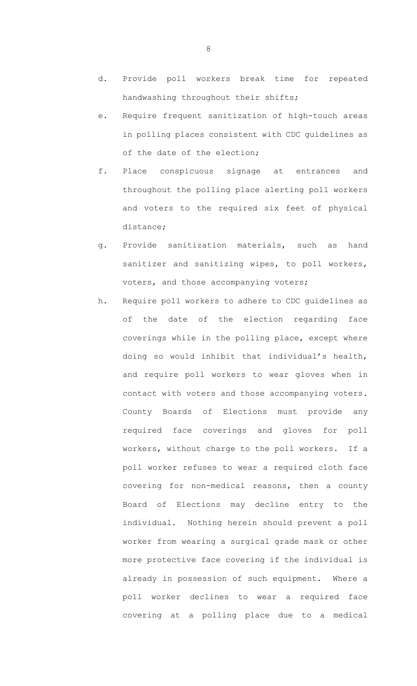- d. Provide poll workers break time for repeated handwashing throughout their shifts;
- e. Require frequent sanitization of high-touch areas in polling places consistent with CDC guidelines as of the date of the election;
- f. Place conspicuous signage at entrances and throughout the polling place alerting poll workers and voters to the required six feet of physical distance;
- g. Provide sanitization materials, such as hand sanitizer and sanitizing wipes, to poll workers, voters, and those accompanying voters;
- h. Require poll workers to adhere to CDC guidelines as of the date of the election regarding face coverings while in the polling place, except where doing so would inhibit that individual's health, and require poll workers to wear gloves when in contact with voters and those accompanying voters. County Boards of Elections must provide any required face coverings and gloves for poll workers, without charge to the poll workers. If a poll worker refuses to wear a required cloth face covering for non-medical reasons, then a county Board of Elections may decline entry to the individual. Nothing herein should prevent a poll worker from wearing a surgical grade mask or other more protective face covering if the individual is already in possession of such equipment. Where a poll worker declines to wear a required face covering at a polling place due to a medical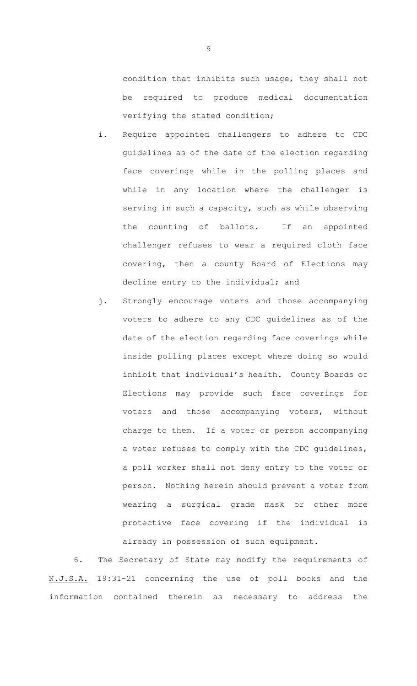condition that inhibits such usage, they shall not be required to produce medical documentation verifying the stated condition;

- i. Require appointed challengers to adhere to CDC guidelines as of the date of the election regarding face coverings while in the polling places and while in any location where the challenger is serving in such a capacity, such as while observing the counting of ballots. If an appointed challenger refuses to wear a required cloth face covering, then a county Board of Elections may decline entry to the individual; and
- j. Strongly encourage voters and those accompanying voters to adhere to any CDC guidelines as of the date of the election regarding face coverings while inside polling places except where doing so would inhibit that individual's health. County Boards of Elections may provide such face coverings for voters and those accompanying voters, without charge to them. If a voter or person accompanying a voter refuses to comply with the CDC guidelines, a poll worker shall not deny entry to the voter or person. Nothing herein should prevent a voter from wearing a surgical grade mask or other more protective face covering if the individual is already in possession of such equipment.

6. The Secretary of State may modify the requirements of N.J.S.A. 19:31-21 concerning the use of poll books and the information contained therein as necessary to address the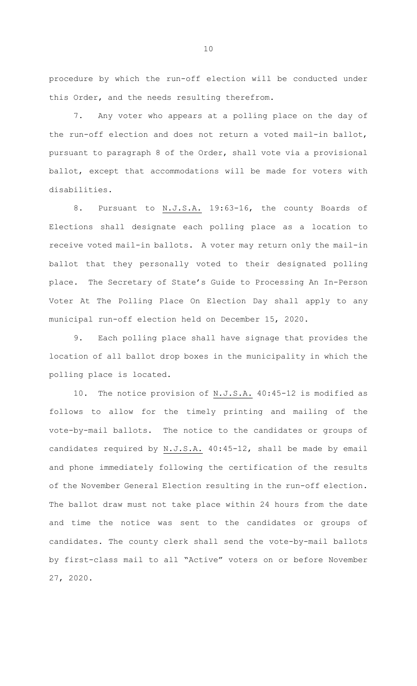procedure by which the run-off election will be conducted under this Order, and the needs resulting therefrom.

7. Any voter who appears at a polling place on the day of the run-off election and does not return a voted mail-in ballot, pursuant to paragraph 8 of the Order, shall vote via a provisional ballot, except that accommodations will be made for voters with disabilities.

8. Pursuant to N.J.S.A. 19:63-16, the county Boards of Elections shall designate each polling place as a location to receive voted mail-in ballots. A voter may return only the mail-in ballot that they personally voted to their designated polling place. The Secretary of State's Guide to Processing An In-Person Voter At The Polling Place On Election Day shall apply to any municipal run-off election held on December 15, 2020.

9. Each polling place shall have signage that provides the location of all ballot drop boxes in the municipality in which the polling place is located.

10. The notice provision of N.J.S.A. 40:45-12 is modified as follows to allow for the timely printing and mailing of the vote-by-mail ballots. The notice to the candidates or groups of candidates required by N.J.S.A. 40:45-12, shall be made by email and phone immediately following the certification of the results of the November General Election resulting in the run-off election. The ballot draw must not take place within 24 hours from the date and time the notice was sent to the candidates or groups of candidates. The county clerk shall send the vote-by-mail ballots by first-class mail to all "Active" voters on or before November 27, 2020.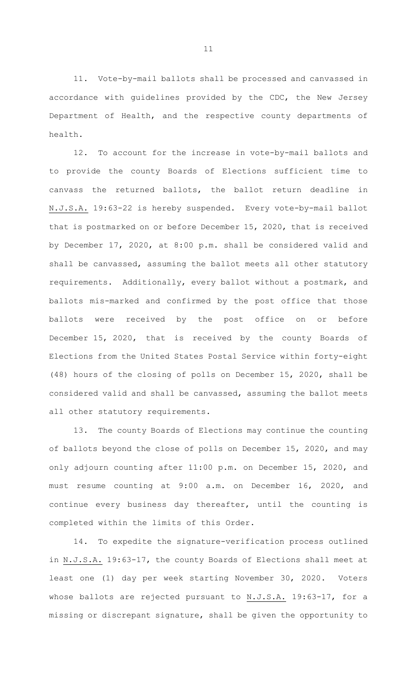11. Vote-by-mail ballots shall be processed and canvassed in accordance with guidelines provided by the CDC, the New Jersey Department of Health, and the respective county departments of health.

12. To account for the increase in vote-by-mail ballots and to provide the county Boards of Elections sufficient time to canvass the returned ballots, the ballot return deadline in N.J.S.A. 19:63-22 is hereby suspended. Every vote-by-mail ballot that is postmarked on or before December 15, 2020, that is received by December 17, 2020, at 8:00 p.m. shall be considered valid and shall be canvassed, assuming the ballot meets all other statutory requirements. Additionally, every ballot without a postmark, and ballots mis-marked and confirmed by the post office that those ballots were received by the post office on or before December 15, 2020, that is received by the county Boards of Elections from the United States Postal Service within forty-eight (48) hours of the closing of polls on December 15, 2020, shall be considered valid and shall be canvassed, assuming the ballot meets all other statutory requirements.

13. The county Boards of Elections may continue the counting of ballots beyond the close of polls on December 15, 2020, and may only adjourn counting after 11:00 p.m. on December 15, 2020, and must resume counting at 9:00 a.m. on December 16, 2020, and continue every business day thereafter, until the counting is completed within the limits of this Order.

14. To expedite the signature-verification process outlined in N.J.S.A. 19:63-17, the county Boards of Elections shall meet at least one (1) day per week starting November 30, 2020. Voters whose ballots are rejected pursuant to N.J.S.A. 19:63-17, for a missing or discrepant signature, shall be given the opportunity to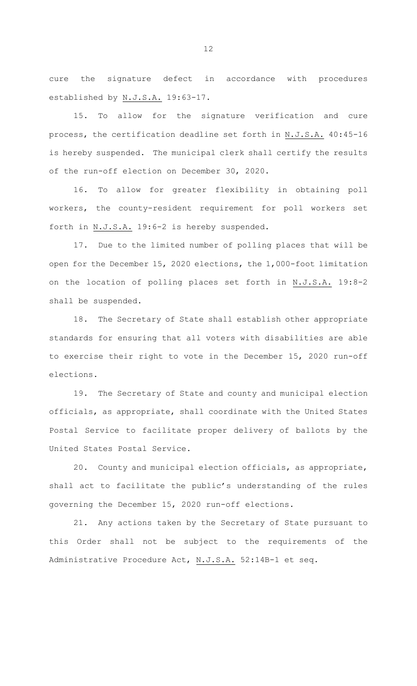cure the signature defect in accordance with procedures established by N.J.S.A. 19:63-17.

15. To allow for the signature verification and cure process, the certification deadline set forth in N.J.S.A. 40:45-16 is hereby suspended. The municipal clerk shall certify the results of the run-off election on December 30, 2020.

16. To allow for greater flexibility in obtaining poll workers, the county-resident requirement for poll workers set forth in N.J.S.A. 19:6-2 is hereby suspended.

17. Due to the limited number of polling places that will be open for the December 15, 2020 elections, the 1,000-foot limitation on the location of polling places set forth in N.J.S.A. 19:8-2 shall be suspended.

18. The Secretary of State shall establish other appropriate standards for ensuring that all voters with disabilities are able to exercise their right to vote in the December 15, 2020 run-off elections.

19. The Secretary of State and county and municipal election officials, as appropriate, shall coordinate with the United States Postal Service to facilitate proper delivery of ballots by the United States Postal Service.

20. County and municipal election officials, as appropriate, shall act to facilitate the public's understanding of the rules governing the December 15, 2020 run-off elections.

21. Any actions taken by the Secretary of State pursuant to this Order shall not be subject to the requirements of the Administrative Procedure Act, N.J.S.A. 52:14B-1 et seq.